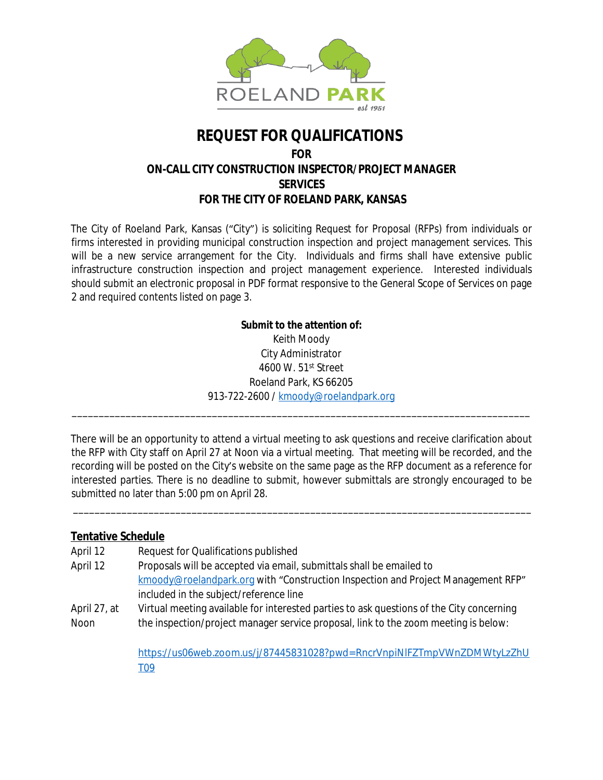

# **REQUEST FOR QUALIFICATIONS FOR ON-CALL CITY CONSTRUCTION INSPECTOR/PROJECT MANAGER SERVICES FOR THE CITY OF ROELAND PARK, KANSAS**

The City of Roeland Park, Kansas ("City") is soliciting Request for Proposal (RFPs) from individuals or firms interested in providing municipal construction inspection and project management services. This will be a new service arrangement for the City. Individuals and firms shall have extensive public infrastructure construction inspection and project management experience. Interested individuals should submit an electronic proposal in PDF format responsive to the General Scope of Services on page 2 and required contents listed on page 3.

### **Submit to the attention of:**

Keith Moody City Administrator 4600 W. 51st Street Roeland Park, KS 66205 913-722-2600 / [kmoody@roelandpark.org](mailto:kmoody@roelandpark.org)

\_\_\_\_\_\_\_\_\_\_\_\_\_\_\_\_\_\_\_\_\_\_\_\_\_\_\_\_\_\_\_\_\_\_\_\_\_\_\_\_\_\_\_\_\_\_\_\_\_\_\_\_\_\_\_\_\_\_\_\_\_\_\_\_\_\_\_\_\_\_\_\_\_\_\_\_\_\_\_\_\_\_\_\_\_

There will be an opportunity to attend a virtual meeting to ask questions and receive clarification about the RFP with City staff on April 27 at Noon via a virtual meeting. That meeting will be recorded, and the recording will be posted on the City's website on the same page as the RFP document as a reference for interested parties. There is no deadline to submit, however submittals are strongly encouraged to be submitted no later than 5:00 pm on April 28.

\_\_\_\_\_\_\_\_\_\_\_\_\_\_\_\_\_\_\_\_\_\_\_\_\_\_\_\_\_\_\_\_\_\_\_\_\_\_\_\_\_\_\_\_\_\_\_\_\_\_\_\_\_\_\_\_\_\_\_\_\_\_\_\_\_\_\_\_\_\_\_\_\_\_\_\_\_\_\_\_\_\_\_\_\_

### **Tentative Schedule**

| April 12     | Request for Qualifications published                                                     |
|--------------|------------------------------------------------------------------------------------------|
| April 12     | Proposals will be accepted via email, submittals shall be emailed to                     |
|              | kmoody@roelandpark.org with "Construction Inspection and Project Management RFP"         |
|              | included in the subject/reference line                                                   |
| April 27, at | Virtual meeting available for interested parties to ask questions of the City concerning |
| Noon         | the inspection/project manager service proposal, link to the zoom meeting is below:      |
|              |                                                                                          |
|              | https://us06web.zoom.us/j/87445831028?pwd=RncrVnpiNIFZTmpVWnZDMWtyLzZhU                  |
|              | T <sub>09</sub>                                                                          |
|              |                                                                                          |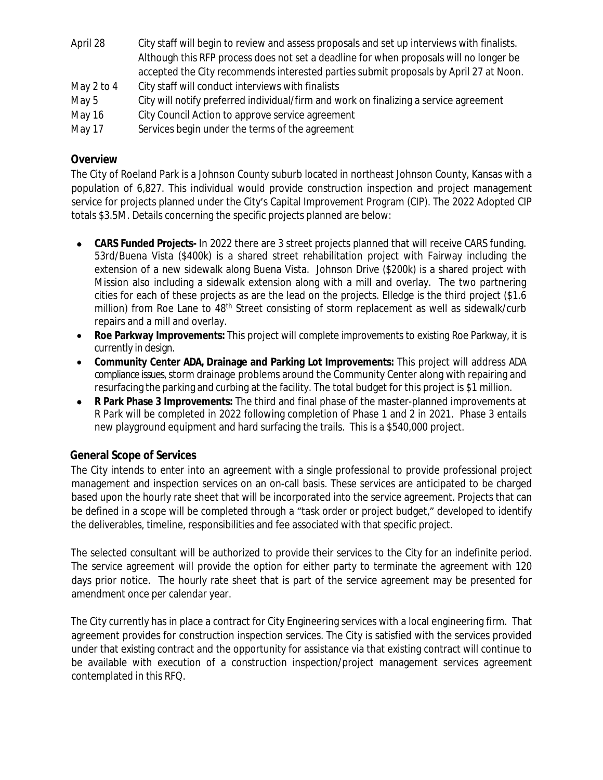| April 28   | City staff will begin to review and assess proposals and set up interviews with finalists. |
|------------|--------------------------------------------------------------------------------------------|
|            | Although this RFP process does not set a deadline for when proposals will no longer be     |
|            | accepted the City recommends interested parties submit proposals by April 27 at Noon.      |
| May 2 to 4 | City staff will conduct interviews with finalists                                          |
| May 5      | City will notify preferred individual/firm and work on finalizing a service agreement      |
| May 16     | City Council Action to approve service agreement                                           |
| May 17     | Services begin under the terms of the agreement                                            |

## **Overview**

The City of Roeland Park is a Johnson County suburb located in northeast Johnson County, Kansas with a population of 6,827. This individual would provide construction inspection and project management service for projects planned under the City's Capital Improvement Program (CIP). The 2022 Adopted CIP totals \$3.5M. Details concerning the specific projects planned are below:

- **CARS Funded Projects-** In 2022 there are 3 street projects planned that will receive CARS funding. 53rd/Buena Vista (\$400k) is a shared street rehabilitation project with Fairway including the extension of a new sidewalk along Buena Vista. Johnson Drive (\$200k) is a shared project with Mission also including a sidewalk extension along with a mill and overlay. The two partnering cities for each of these projects as are the lead on the projects. Elledge is the third project (\$1.6 million) from Roe Lane to 48<sup>th</sup> Street consisting of storm replacement as well as sidewalk/curb repairs and a mill and overlay.
- **Roe Parkway Improvements:** This project will complete improvements to existing Roe Parkway, it is currently in design.
- **Community Center ADA, Drainage and Parking Lot Improvements:** This project will address ADA compliance issues, storm drainage problems around the Community Center along with repairing and resurfacing the parking and curbing at the facility. The total budget for this project is \$1 million.
- **R Park Phase 3 Improvements:** The third and final phase of the master-planned improvements at R Park will be completed in 2022 following completion of Phase 1 and 2 in 2021. Phase 3 entails new playground equipment and hard surfacing the trails. This is a \$540,000 project.

### **General Scope of Services**

The City intends to enter into an agreement with a single professional to provide professional project management and inspection services on an on-call basis. These services are anticipated to be charged based upon the hourly rate sheet that will be incorporated into the service agreement. Projects that can be defined in a scope will be completed through a "task order or project budget," developed to identify the deliverables, timeline, responsibilities and fee associated with that specific project.

The selected consultant will be authorized to provide their services to the City for an indefinite period. The service agreement will provide the option for either party to terminate the agreement with 120 days prior notice. The hourly rate sheet that is part of the service agreement may be presented for amendment once per calendar year.

The City currently has in place a contract for City Engineering services with a local engineering firm. That agreement provides for construction inspection services. The City is satisfied with the services provided under that existing contract and the opportunity for assistance via that existing contract will continue to be available with execution of a construction inspection/project management services agreement contemplated in this RFQ.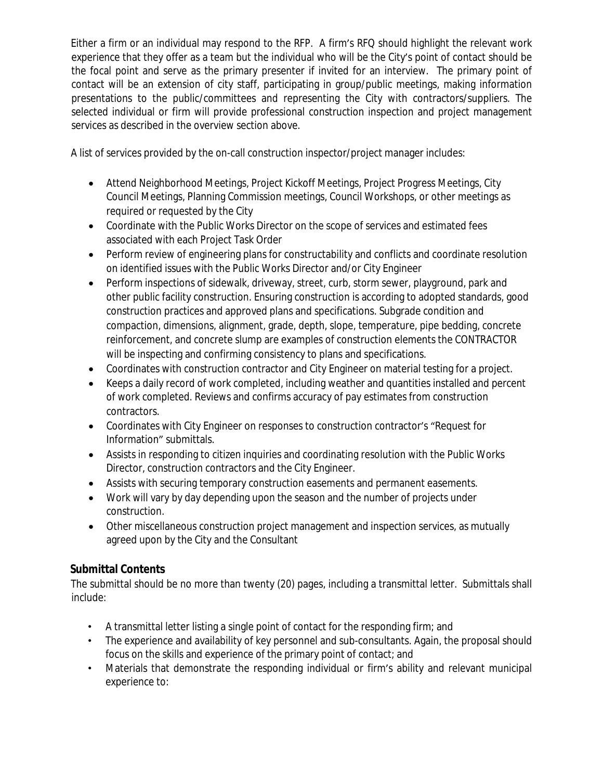Either a firm or an individual may respond to the RFP. A firm's RFQ should highlight the relevant work experience that they offer as a team but the individual who will be the City's point of contact should be the focal point and serve as the primary presenter if invited for an interview. The primary point of contact will be an extension of city staff, participating in group/public meetings, making information presentations to the public/committees and representing the City with contractors/suppliers. The selected individual or firm will provide professional construction inspection and project management services as described in the overview section above.

A list of services provided by the on-call construction inspector/project manager includes:

- Attend Neighborhood Meetings, Project Kickoff Meetings, Project Progress Meetings, City Council Meetings, Planning Commission meetings, Council Workshops, or other meetings as required or requested by the City
- Coordinate with the Public Works Director on the scope of services and estimated fees associated with each Project Task Order
- Perform review of engineering plans for constructability and conflicts and coordinate resolution on identified issues with the Public Works Director and/or City Engineer
- Perform inspections of sidewalk, driveway, street, curb, storm sewer, playground, park and other public facility construction. Ensuring construction is according to adopted standards, good construction practices and approved plans and specifications. Subgrade condition and compaction, dimensions, alignment, grade, depth, slope, temperature, pipe bedding, concrete reinforcement, and concrete slump are examples of construction elements the CONTRACTOR will be inspecting and confirming consistency to plans and specifications.
- Coordinates with construction contractor and City Engineer on material testing for a project.
- Keeps a daily record of work completed, including weather and quantities installed and percent of work completed. Reviews and confirms accuracy of pay estimates from construction contractors.
- Coordinates with City Engineer on responses to construction contractor's "Request for Information" submittals.
- Assists in responding to citizen inquiries and coordinating resolution with the Public Works Director, construction contractors and the City Engineer.
- Assists with securing temporary construction easements and permanent easements.
- Work will vary by day depending upon the season and the number of projects under construction.
- Other miscellaneous construction project management and inspection services, as mutually agreed upon by the City and the Consultant

## **Submittal Contents**

The submittal should be no more than twenty (20) pages, including a transmittal letter. Submittals shall include:

- A transmittal letter listing a single point of contact for the responding firm; and
- The experience and availability of key personnel and sub-consultants. Again, the proposal should focus on the skills and experience of the primary point of contact; and
- Materials that demonstrate the responding individual or firm's ability and relevant municipal experience to: